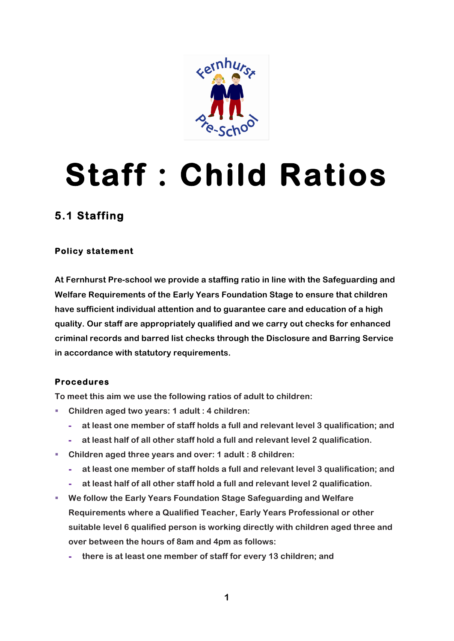

## **Staff : Child Ratios**

## **5.1 Staffing**

## **Policy statement**

**At Fernhurst Pre-school we provide a staffing ratio in line with the Safeguarding and Welfare Requirements of the Early Years Foundation Stage to ensure that children have sufficient individual attention and to guarantee care and education of a high quality. Our staff are appropriately qualified and we carry out checks for enhanced criminal records and barred list checks through the Disclosure and Barring Service in accordance with statutory requirements.**

## **Procedures**

**To meet this aim we use the following ratios of adult to children:**

- Children aged two years: 1 adult : 4 children:
	- **- at least one member of staff holds a full and relevant level 3 qualification; and**
	- **- at least half of all other staff hold a full and relevant level 2 qualification.**
- § **Children aged three years and over: 1 adult : 8 children:**
	- **- at least one member of staff holds a full and relevant level 3 qualification; and**
	- **- at least half of all other staff hold a full and relevant level 2 qualification.**
- § **We follow the Early Years Foundation Stage Safeguarding and Welfare Requirements where a Qualified Teacher, Early Years Professional or other suitable level 6 qualified person is working directly with children aged three and over between the hours of 8am and 4pm as follows:**
	- **- there is at least one member of staff for every 13 children; and**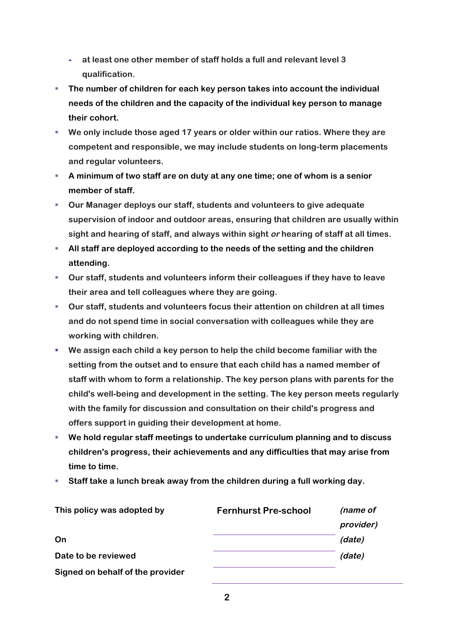- **- at least one other member of staff holds a full and relevant level 3 qualification.**
- § **The number of children for each key person takes into account the individual needs of the children and the capacity of the individual key person to manage their cohort.**
- We only include those aged 17 years or older within our ratios. Where they are **competent and responsible, we may include students on long-term placements and regular volunteers.**
- § **A minimum of two staff are on duty at any one time; one of whom is a senior member of staff.**
- § **Our Manager deploys our staff, students and volunteers to give adequate supervision of indoor and outdoor areas, ensuring that children are usually within sight and hearing of staff, and always within sight or hearing of staff at all times.**
- All staff are deployed according to the needs of the setting and the children **attending.**
- § **Our staff, students and volunteers inform their colleagues if they have to leave their area and tell colleagues where they are going.**
- § **Our staff, students and volunteers focus their attention on children at all times and do not spend time in social conversation with colleagues while they are working with children.**
- § **We assign each child a key person to help the child become familiar with the setting from the outset and to ensure that each child has a named member of staff with whom to form a relationship. The key person plans with parents for the child's well-being and development in the setting. The key person meets regularly with the family for discussion and consultation on their child's progress and offers support in guiding their development at home.**
- § **We hold regular staff meetings to undertake curriculum planning and to discuss children's progress, their achievements and any difficulties that may arise from time to time.**
- **EXECT Staff take a lunch break away from the children during a full working day.**

| This policy was adopted by       | <b>Fernhurst Pre-school</b> | (name of  |
|----------------------------------|-----------------------------|-----------|
|                                  |                             | provider) |
| On                               |                             | (date)    |
| Date to be reviewed              |                             | (date)    |
| Signed on behalf of the provider |                             |           |